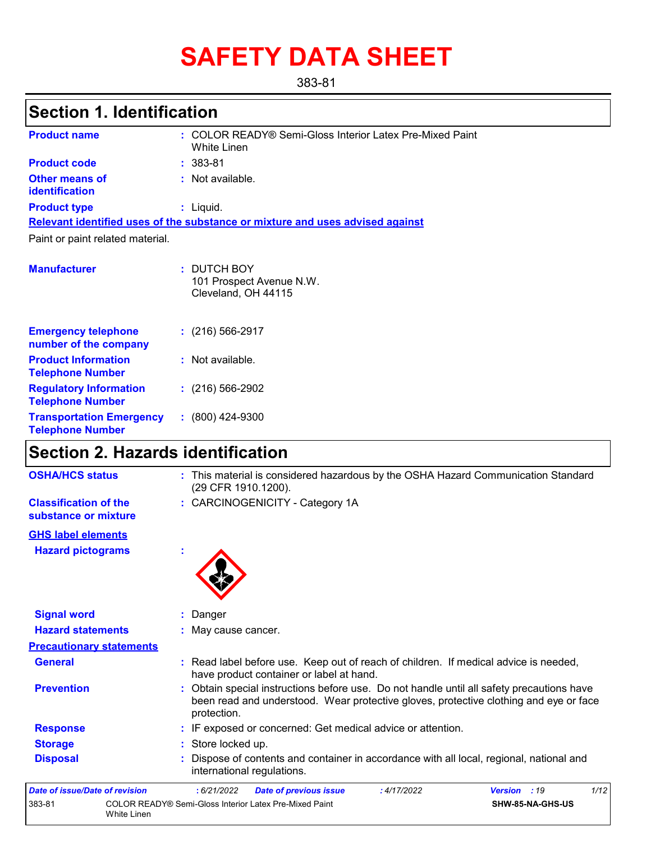# **SAFETY DATA SHEET**

383-81

## **Section 1. Identification**

| <b>Product name</b>                                        | : COLOR READY® Semi-Gloss Interior Latex Pre-Mixed Paint<br>White Linen       |
|------------------------------------------------------------|-------------------------------------------------------------------------------|
| <b>Product code</b>                                        | $: 383 - 81$                                                                  |
| <b>Other means of</b><br>identification                    | : Not available.                                                              |
| <b>Product type</b>                                        | : Liquid.                                                                     |
|                                                            | Relevant identified uses of the substance or mixture and uses advised against |
| Paint or paint related material.                           |                                                                               |
| <b>Manufacturer</b>                                        | : DUTCH BOY<br>101 Prospect Avenue N.W.<br>Cleveland, OH 44115                |
| <b>Emergency telephone</b><br>number of the company        | $: (216) 566 - 2917$                                                          |
| <b>Product Information</b><br><b>Telephone Number</b>      | : Not available.                                                              |
| <b>Regulatory Information</b><br><b>Telephone Number</b>   | $: (216) 566 - 2902$                                                          |
| <b>Transportation Emergency</b><br><b>Telephone Number</b> | $: (800)$ 424-9300                                                            |

## **Section 2. Hazards identification**

| <b>OSHA/HCS status</b>                               | : This material is considered hazardous by the OSHA Hazard Communication Standard<br>(29 CFR 1910.1200).                                                                                          |
|------------------------------------------------------|---------------------------------------------------------------------------------------------------------------------------------------------------------------------------------------------------|
| <b>Classification of the</b><br>substance or mixture | : CARCINOGENICITY - Category 1A                                                                                                                                                                   |
| <b>GHS label elements</b>                            |                                                                                                                                                                                                   |
| <b>Hazard pictograms</b>                             |                                                                                                                                                                                                   |
| <b>Signal word</b>                                   | Danger                                                                                                                                                                                            |
| <b>Hazard statements</b>                             | : May cause cancer.                                                                                                                                                                               |
| <b>Precautionary statements</b>                      |                                                                                                                                                                                                   |
| <b>General</b>                                       | : Read label before use. Keep out of reach of children. If medical advice is needed,<br>have product container or label at hand.                                                                  |
| <b>Prevention</b>                                    | : Obtain special instructions before use. Do not handle until all safety precautions have<br>been read and understood. Wear protective gloves, protective clothing and eye or face<br>protection. |
| <b>Response</b>                                      | : IF exposed or concerned: Get medical advice or attention.                                                                                                                                       |
| <b>Storage</b>                                       | : Store locked up.                                                                                                                                                                                |
| <b>Disposal</b>                                      | Dispose of contents and container in accordance with all local, regional, national and<br>international regulations.                                                                              |
| Date of issue/Date of revision                       | 1/12<br>: 6/21/2022<br><b>Date of previous issue</b><br>:4/17/2022<br>Version : 19                                                                                                                |
| 383-81                                               | COLOR READY® Semi-Gloss Interior Latex Pre-Mixed Paint<br>SHW-85-NA-GHS-US<br>White Linen                                                                                                         |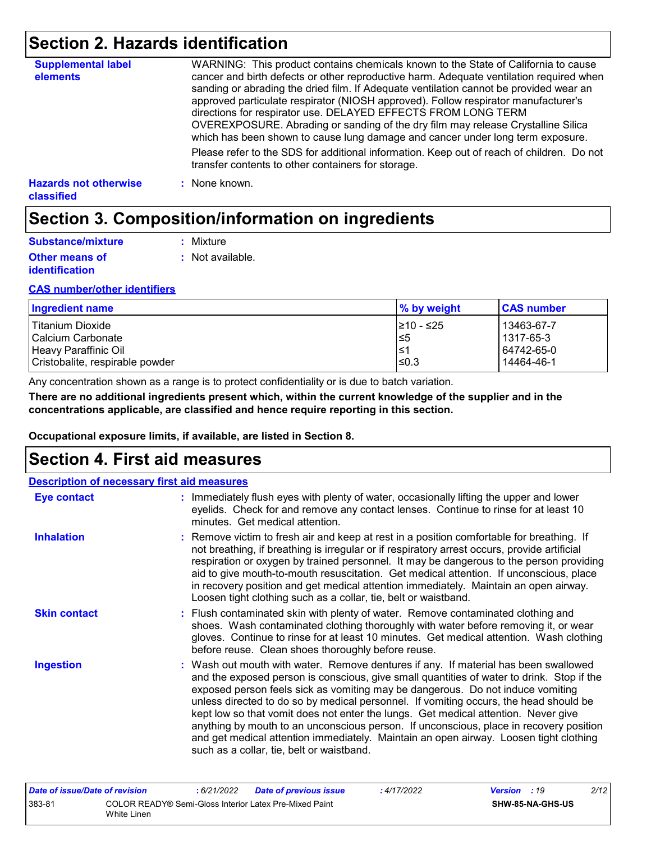## **Section 2. Hazards identification**

| <b>Supplemental label</b><br>elements      | WARNING: This product contains chemicals known to the State of California to cause<br>cancer and birth defects or other reproductive harm. Adequate ventilation required when<br>sanding or abrading the dried film. If Adequate ventilation cannot be provided wear an<br>approved particulate respirator (NIOSH approved). Follow respirator manufacturer's<br>directions for respirator use. DELAYED EFFECTS FROM LONG TERM<br>OVEREXPOSURE. Abrading or sanding of the dry film may release Crystalline Silica<br>which has been shown to cause lung damage and cancer under long term exposure. |
|--------------------------------------------|------------------------------------------------------------------------------------------------------------------------------------------------------------------------------------------------------------------------------------------------------------------------------------------------------------------------------------------------------------------------------------------------------------------------------------------------------------------------------------------------------------------------------------------------------------------------------------------------------|
|                                            | Please refer to the SDS for additional information. Keep out of reach of children. Do not<br>transfer contents to other containers for storage.                                                                                                                                                                                                                                                                                                                                                                                                                                                      |
| <b>Hazards not otherwise</b><br>classified | : None known.                                                                                                                                                                                                                                                                                                                                                                                                                                                                                                                                                                                        |

## **Section 3. Composition/information on ingredients**

| Substance/mixture                              | : Mixture        |
|------------------------------------------------|------------------|
| <b>Other means of</b><br><i>identification</i> | : Not available. |

#### **CAS number/other identifiers**

| Ingredient name                 | % by weight | <b>CAS number</b> |
|---------------------------------|-------------|-------------------|
| Titanium Dioxide                | 1≥10 - ≤25  | 13463-67-7        |
| l Calcium Carbonate             | 5≥          | l 1317-65-3       |
| Heavy Paraffinic Oil            | 1≥ا         | 64742-65-0        |
| Cristobalite, respirable powder | $\leq 0.3$  | 14464-46-1        |

Any concentration shown as a range is to protect confidentiality or is due to batch variation.

**There are no additional ingredients present which, within the current knowledge of the supplier and in the concentrations applicable, are classified and hence require reporting in this section.**

**Occupational exposure limits, if available, are listed in Section 8.**

### **Section 4. First aid measures**

| <b>Description of necessary first aid measures</b> |                                                                                                                                                                                                                                                                                                                                                                                                                                                                                                                                                                                                                                                                                   |
|----------------------------------------------------|-----------------------------------------------------------------------------------------------------------------------------------------------------------------------------------------------------------------------------------------------------------------------------------------------------------------------------------------------------------------------------------------------------------------------------------------------------------------------------------------------------------------------------------------------------------------------------------------------------------------------------------------------------------------------------------|
| <b>Eye contact</b>                                 | : Immediately flush eyes with plenty of water, occasionally lifting the upper and lower<br>eyelids. Check for and remove any contact lenses. Continue to rinse for at least 10<br>minutes. Get medical attention.                                                                                                                                                                                                                                                                                                                                                                                                                                                                 |
| <b>Inhalation</b>                                  | : Remove victim to fresh air and keep at rest in a position comfortable for breathing. If<br>not breathing, if breathing is irregular or if respiratory arrest occurs, provide artificial<br>respiration or oxygen by trained personnel. It may be dangerous to the person providing<br>aid to give mouth-to-mouth resuscitation. Get medical attention. If unconscious, place<br>in recovery position and get medical attention immediately. Maintain an open airway.<br>Loosen tight clothing such as a collar, tie, belt or waistband.                                                                                                                                         |
| <b>Skin contact</b>                                | : Flush contaminated skin with plenty of water. Remove contaminated clothing and<br>shoes. Wash contaminated clothing thoroughly with water before removing it, or wear<br>gloves. Continue to rinse for at least 10 minutes. Get medical attention. Wash clothing<br>before reuse. Clean shoes thoroughly before reuse.                                                                                                                                                                                                                                                                                                                                                          |
| <b>Ingestion</b>                                   | : Wash out mouth with water. Remove dentures if any. If material has been swallowed<br>and the exposed person is conscious, give small quantities of water to drink. Stop if the<br>exposed person feels sick as vomiting may be dangerous. Do not induce vomiting<br>unless directed to do so by medical personnel. If vomiting occurs, the head should be<br>kept low so that vomit does not enter the lungs. Get medical attention. Never give<br>anything by mouth to an unconscious person. If unconscious, place in recovery position<br>and get medical attention immediately. Maintain an open airway. Loosen tight clothing<br>such as a collar, tie, belt or waistband. |

| Date of issue/Date of revision |                                                                       | 6/21/2022 | <b>Date of previous issue</b> | 4/17/2022 | <b>Version</b> : 19 |                  | 2/12 |
|--------------------------------|-----------------------------------------------------------------------|-----------|-------------------------------|-----------|---------------------|------------------|------|
| 383-81                         | COLOR READY® Semi-Gloss Interior Latex Pre-Mixed Paint<br>White Linen |           |                               |           |                     | SHW-85-NA-GHS-US |      |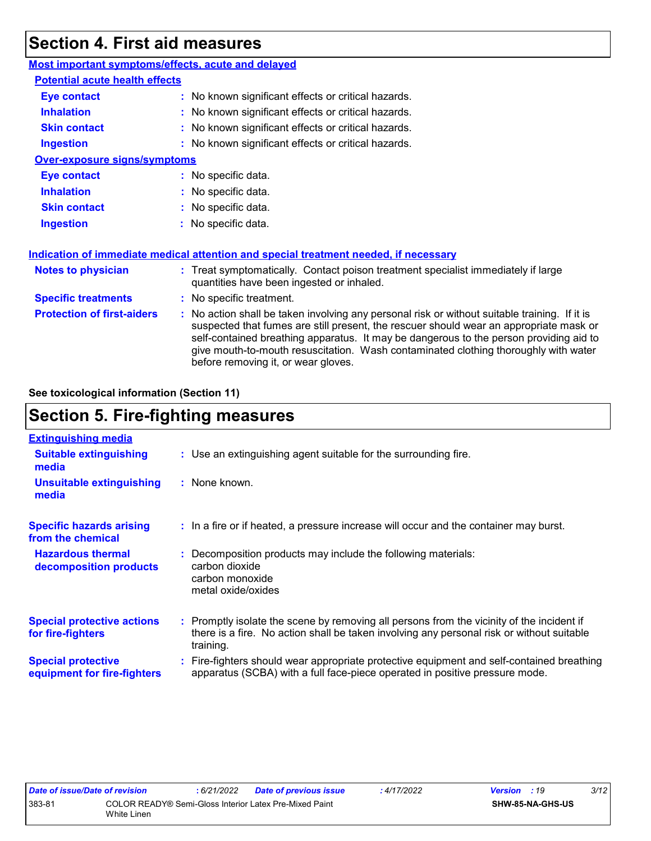## **Section 4. First aid measures**

| Most important symptoms/effects, acute and delayed |                                                                                                                                                                                                                                                                                                                                                                                                                 |
|----------------------------------------------------|-----------------------------------------------------------------------------------------------------------------------------------------------------------------------------------------------------------------------------------------------------------------------------------------------------------------------------------------------------------------------------------------------------------------|
| <b>Potential acute health effects</b>              |                                                                                                                                                                                                                                                                                                                                                                                                                 |
| <b>Eye contact</b>                                 | : No known significant effects or critical hazards.                                                                                                                                                                                                                                                                                                                                                             |
| <b>Inhalation</b>                                  | : No known significant effects or critical hazards.                                                                                                                                                                                                                                                                                                                                                             |
| <b>Skin contact</b>                                | : No known significant effects or critical hazards.                                                                                                                                                                                                                                                                                                                                                             |
| <b>Ingestion</b>                                   | : No known significant effects or critical hazards.                                                                                                                                                                                                                                                                                                                                                             |
| <b>Over-exposure signs/symptoms</b>                |                                                                                                                                                                                                                                                                                                                                                                                                                 |
| <b>Eye contact</b>                                 | : No specific data.                                                                                                                                                                                                                                                                                                                                                                                             |
| <b>Inhalation</b>                                  | : No specific data.                                                                                                                                                                                                                                                                                                                                                                                             |
| <b>Skin contact</b>                                | : No specific data.                                                                                                                                                                                                                                                                                                                                                                                             |
| <b>Ingestion</b>                                   | : No specific data.                                                                                                                                                                                                                                                                                                                                                                                             |
|                                                    | Indication of immediate medical attention and special treatment needed, if necessary                                                                                                                                                                                                                                                                                                                            |
| <b>Notes to physician</b>                          | : Treat symptomatically. Contact poison treatment specialist immediately if large<br>quantities have been ingested or inhaled.                                                                                                                                                                                                                                                                                  |
| <b>Specific treatments</b>                         | : No specific treatment.                                                                                                                                                                                                                                                                                                                                                                                        |
| <b>Protection of first-aiders</b>                  | : No action shall be taken involving any personal risk or without suitable training. If it is<br>suspected that fumes are still present, the rescuer should wear an appropriate mask or<br>self-contained breathing apparatus. It may be dangerous to the person providing aid to<br>give mouth-to-mouth resuscitation. Wash contaminated clothing thoroughly with water<br>before removing it, or wear gloves. |

**See toxicological information (Section 11)**

## **Section 5. Fire-fighting measures**

| <b>Extinguishing media</b>                               |                                                                                                                                                                                                     |
|----------------------------------------------------------|-----------------------------------------------------------------------------------------------------------------------------------------------------------------------------------------------------|
| <b>Suitable extinguishing</b><br>media                   | : Use an extinguishing agent suitable for the surrounding fire.                                                                                                                                     |
| <b>Unsuitable extinguishing</b><br>media                 | : None known.                                                                                                                                                                                       |
| <b>Specific hazards arising</b><br>from the chemical     | : In a fire or if heated, a pressure increase will occur and the container may burst.                                                                                                               |
| <b>Hazardous thermal</b><br>decomposition products       | Decomposition products may include the following materials:<br>carbon dioxide<br>carbon monoxide<br>metal oxide/oxides                                                                              |
| <b>Special protective actions</b><br>for fire-fighters   | : Promptly isolate the scene by removing all persons from the vicinity of the incident if<br>there is a fire. No action shall be taken involving any personal risk or without suitable<br>training. |
| <b>Special protective</b><br>equipment for fire-fighters | : Fire-fighters should wear appropriate protective equipment and self-contained breathing<br>apparatus (SCBA) with a full face-piece operated in positive pressure mode.                            |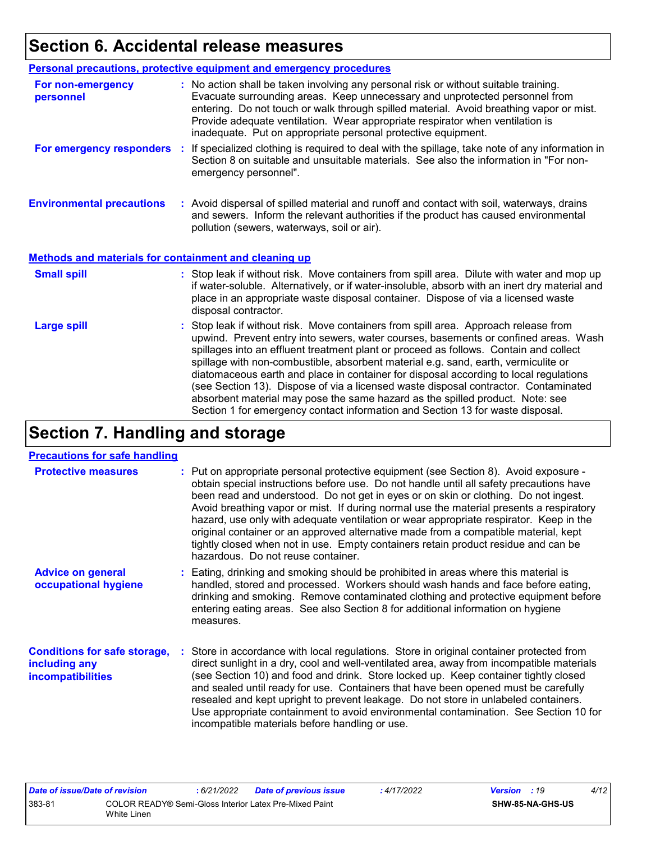## **Section 6. Accidental release measures**

|                                                              | <b>Personal precautions, protective equipment and emergency procedures</b>                                                                                                                                                                                                                                                                                                                                                                                                                                                                                                                                                                                                                                   |
|--------------------------------------------------------------|--------------------------------------------------------------------------------------------------------------------------------------------------------------------------------------------------------------------------------------------------------------------------------------------------------------------------------------------------------------------------------------------------------------------------------------------------------------------------------------------------------------------------------------------------------------------------------------------------------------------------------------------------------------------------------------------------------------|
| For non-emergency<br>personnel                               | : No action shall be taken involving any personal risk or without suitable training.<br>Evacuate surrounding areas. Keep unnecessary and unprotected personnel from<br>entering. Do not touch or walk through spilled material. Avoid breathing vapor or mist.<br>Provide adequate ventilation. Wear appropriate respirator when ventilation is<br>inadequate. Put on appropriate personal protective equipment.                                                                                                                                                                                                                                                                                             |
| For emergency responders                                     | : If specialized clothing is required to deal with the spillage, take note of any information in<br>Section 8 on suitable and unsuitable materials. See also the information in "For non-<br>emergency personnel".                                                                                                                                                                                                                                                                                                                                                                                                                                                                                           |
| <b>Environmental precautions</b>                             | : Avoid dispersal of spilled material and runoff and contact with soil, waterways, drains<br>and sewers. Inform the relevant authorities if the product has caused environmental<br>pollution (sewers, waterways, soil or air).                                                                                                                                                                                                                                                                                                                                                                                                                                                                              |
| <b>Methods and materials for containment and cleaning up</b> |                                                                                                                                                                                                                                                                                                                                                                                                                                                                                                                                                                                                                                                                                                              |
| <b>Small spill</b>                                           | : Stop leak if without risk. Move containers from spill area. Dilute with water and mop up<br>if water-soluble. Alternatively, or if water-insoluble, absorb with an inert dry material and<br>place in an appropriate waste disposal container. Dispose of via a licensed waste<br>disposal contractor.                                                                                                                                                                                                                                                                                                                                                                                                     |
| <b>Large spill</b>                                           | : Stop leak if without risk. Move containers from spill area. Approach release from<br>upwind. Prevent entry into sewers, water courses, basements or confined areas. Wash<br>spillages into an effluent treatment plant or proceed as follows. Contain and collect<br>spillage with non-combustible, absorbent material e.g. sand, earth, vermiculite or<br>diatomaceous earth and place in container for disposal according to local regulations<br>(see Section 13). Dispose of via a licensed waste disposal contractor. Contaminated<br>absorbent material may pose the same hazard as the spilled product. Note: see<br>Section 1 for emergency contact information and Section 13 for waste disposal. |

## **Section 7. Handling and storage**

#### **Precautions for safe handling**

| <b>Protective measures</b>                                                       | : Put on appropriate personal protective equipment (see Section 8). Avoid exposure -<br>obtain special instructions before use. Do not handle until all safety precautions have<br>been read and understood. Do not get in eyes or on skin or clothing. Do not ingest.<br>Avoid breathing vapor or mist. If during normal use the material presents a respiratory<br>hazard, use only with adequate ventilation or wear appropriate respirator. Keep in the<br>original container or an approved alternative made from a compatible material, kept<br>tightly closed when not in use. Empty containers retain product residue and can be<br>hazardous. Do not reuse container. |
|----------------------------------------------------------------------------------|--------------------------------------------------------------------------------------------------------------------------------------------------------------------------------------------------------------------------------------------------------------------------------------------------------------------------------------------------------------------------------------------------------------------------------------------------------------------------------------------------------------------------------------------------------------------------------------------------------------------------------------------------------------------------------|
| <b>Advice on general</b><br>occupational hygiene                                 | : Eating, drinking and smoking should be prohibited in areas where this material is<br>handled, stored and processed. Workers should wash hands and face before eating,<br>drinking and smoking. Remove contaminated clothing and protective equipment before<br>entering eating areas. See also Section 8 for additional information on hygiene<br>measures.                                                                                                                                                                                                                                                                                                                  |
| <b>Conditions for safe storage,</b><br>including any<br><b>incompatibilities</b> | Store in accordance with local regulations. Store in original container protected from<br>direct sunlight in a dry, cool and well-ventilated area, away from incompatible materials<br>(see Section 10) and food and drink. Store locked up. Keep container tightly closed<br>and sealed until ready for use. Containers that have been opened must be carefully<br>resealed and kept upright to prevent leakage. Do not store in unlabeled containers.<br>Use appropriate containment to avoid environmental contamination. See Section 10 for<br>incompatible materials before handling or use.                                                                              |

| Date of issue/Date of revision |                                                                       | : 6/21/2022 | <b>Date of previous issue</b> | : 4/17/2022 | <b>Version</b> : 19 |                         | 4/12 |
|--------------------------------|-----------------------------------------------------------------------|-------------|-------------------------------|-------------|---------------------|-------------------------|------|
| 383-81                         | COLOR READY® Semi-Gloss Interior Latex Pre-Mixed Paint<br>White Linen |             |                               |             |                     | <b>SHW-85-NA-GHS-US</b> |      |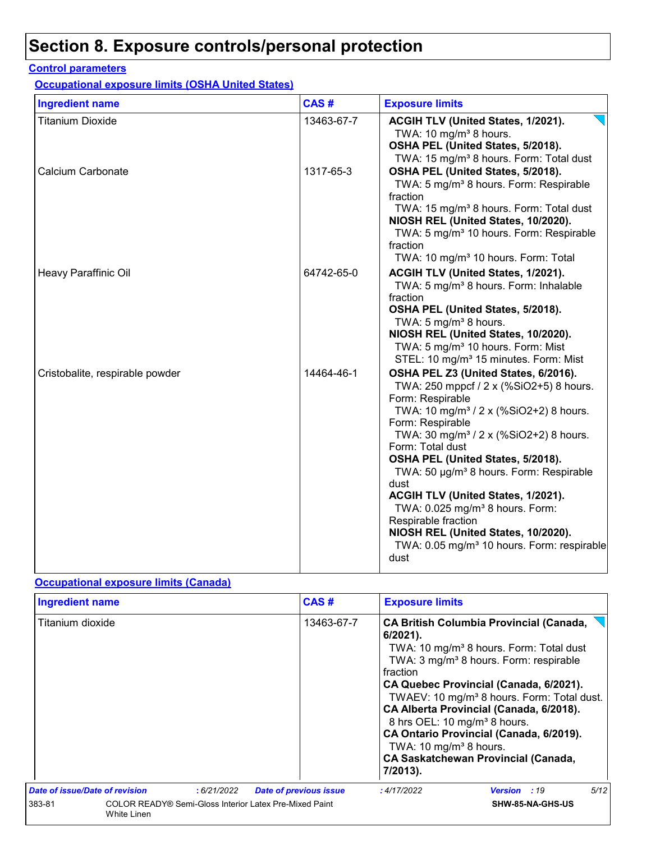## **Section 8. Exposure controls/personal protection**

#### **Control parameters**

**Occupational exposure limits (OSHA United States)**

| <b>Ingredient name</b>          | CAS#       | <b>Exposure limits</b>                                                                                                                                                                                                                                                                                                                                                                                                                                                                                                                                                           |
|---------------------------------|------------|----------------------------------------------------------------------------------------------------------------------------------------------------------------------------------------------------------------------------------------------------------------------------------------------------------------------------------------------------------------------------------------------------------------------------------------------------------------------------------------------------------------------------------------------------------------------------------|
| <b>Titanium Dioxide</b>         | 13463-67-7 | ACGIH TLV (United States, 1/2021).<br>TWA: 10 mg/m <sup>3</sup> 8 hours.<br>OSHA PEL (United States, 5/2018).<br>TWA: 15 mg/m <sup>3</sup> 8 hours. Form: Total dust                                                                                                                                                                                                                                                                                                                                                                                                             |
| Calcium Carbonate               | 1317-65-3  | OSHA PEL (United States, 5/2018).<br>TWA: 5 mg/m <sup>3</sup> 8 hours. Form: Respirable<br>fraction<br>TWA: 15 mg/m <sup>3</sup> 8 hours. Form: Total dust<br>NIOSH REL (United States, 10/2020).<br>TWA: 5 mg/m <sup>3</sup> 10 hours. Form: Respirable<br>fraction<br>TWA: 10 mg/m <sup>3</sup> 10 hours. Form: Total                                                                                                                                                                                                                                                          |
| Heavy Paraffinic Oil            | 64742-65-0 | ACGIH TLV (United States, 1/2021).<br>TWA: 5 mg/m <sup>3</sup> 8 hours. Form: Inhalable<br>fraction<br>OSHA PEL (United States, 5/2018).<br>TWA: 5 mg/m <sup>3</sup> 8 hours.<br>NIOSH REL (United States, 10/2020).<br>TWA: 5 mg/m <sup>3</sup> 10 hours. Form: Mist<br>STEL: 10 mg/m <sup>3</sup> 15 minutes. Form: Mist                                                                                                                                                                                                                                                       |
| Cristobalite, respirable powder | 14464-46-1 | OSHA PEL Z3 (United States, 6/2016).<br>TWA: 250 mppcf / 2 x (%SiO2+5) 8 hours.<br>Form: Respirable<br>TWA: 10 mg/m <sup>3</sup> / 2 x (%SiO2+2) 8 hours.<br>Form: Respirable<br>TWA: 30 mg/m <sup>3</sup> / 2 x (%SiO2+2) 8 hours.<br>Form: Total dust<br>OSHA PEL (United States, 5/2018).<br>TWA: 50 µg/m <sup>3</sup> 8 hours. Form: Respirable<br>dust<br>ACGIH TLV (United States, 1/2021).<br>TWA: 0.025 mg/m <sup>3</sup> 8 hours. Form:<br>Respirable fraction<br>NIOSH REL (United States, 10/2020).<br>TWA: 0.05 mg/m <sup>3</sup> 10 hours. Form: respirable<br>dust |

#### **Occupational exposure limits (Canada)**

| <b>Ingredient name</b>                                                                 |  |            |                                                                                                                       | CAS#                                                                                                                                                                                                                                                                                                                                                                                                | <b>Exposure limits</b> |                     |      |
|----------------------------------------------------------------------------------------|--|------------|-----------------------------------------------------------------------------------------------------------------------|-----------------------------------------------------------------------------------------------------------------------------------------------------------------------------------------------------------------------------------------------------------------------------------------------------------------------------------------------------------------------------------------------------|------------------------|---------------------|------|
| Titanium dioxide                                                                       |  | 13463-67-7 | $6/2021$ ).<br>fraction<br>8 hrs OEL: 10 mg/m <sup>3</sup> 8 hours.<br>TWA: 10 mg/m <sup>3</sup> 8 hours.<br>7/2013). | <b>CA British Columbia Provincial (Canada,</b><br>TWA: 10 mg/m <sup>3</sup> 8 hours. Form: Total dust<br>TWA: 3 mg/m <sup>3</sup> 8 hours. Form: respirable<br>CA Quebec Provincial (Canada, 6/2021).<br>TWAEV: 10 mg/m <sup>3</sup> 8 hours. Form: Total dust.<br>CA Alberta Provincial (Canada, 6/2018).<br>CA Ontario Provincial (Canada, 6/2019).<br><b>CA Saskatchewan Provincial (Canada,</b> |                        |                     |      |
| Date of issue/Date of revision                                                         |  | :6/21/2022 |                                                                                                                       | <b>Date of previous issue</b>                                                                                                                                                                                                                                                                                                                                                                       | : 4/17/2022            | <b>Version</b> : 19 | 5/12 |
| 383-81<br>COLOR READY® Semi-Gloss Interior Latex Pre-Mixed Paint<br><b>White Linen</b> |  |            | SHW-85-NA-GHS-US                                                                                                      |                                                                                                                                                                                                                                                                                                                                                                                                     |                        |                     |      |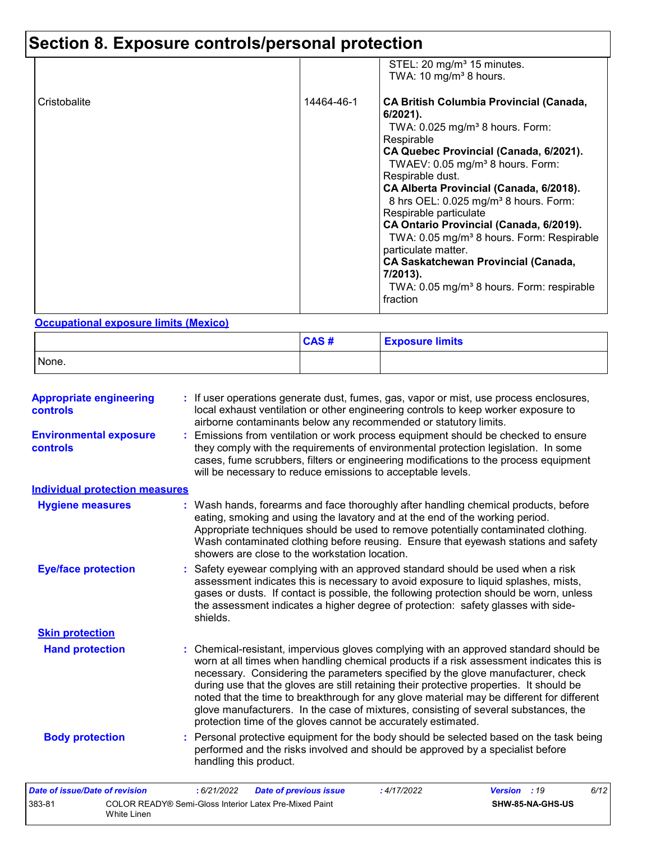# **Section 8. Exposure controls/personal protection**

|              |            | STEL: 20 mg/m <sup>3</sup> 15 minutes.<br>TWA: 10 mg/m <sup>3</sup> 8 hours.                                                                                                                                                                                                                                                                                                                                                                                                                                                                                                                                                   |
|--------------|------------|--------------------------------------------------------------------------------------------------------------------------------------------------------------------------------------------------------------------------------------------------------------------------------------------------------------------------------------------------------------------------------------------------------------------------------------------------------------------------------------------------------------------------------------------------------------------------------------------------------------------------------|
| Cristobalite | 14464-46-1 | <b>CA British Columbia Provincial (Canada,</b><br>$6/2021$ ).<br>TWA: $0.025$ mg/m <sup>3</sup> 8 hours. Form:<br>Respirable<br>CA Quebec Provincial (Canada, 6/2021).<br>TWAEV: 0.05 mg/m <sup>3</sup> 8 hours. Form:<br>Respirable dust.<br>CA Alberta Provincial (Canada, 6/2018).<br>8 hrs OEL: 0.025 mg/m <sup>3</sup> 8 hours. Form:<br>Respirable particulate<br>CA Ontario Provincial (Canada, 6/2019).<br>TWA: 0.05 mg/m <sup>3</sup> 8 hours. Form: Respirable<br>particulate matter.<br><b>CA Saskatchewan Provincial (Canada,</b><br>7/2013).<br>TWA: 0.05 mg/m <sup>3</sup> 8 hours. Form: respirable<br>fraction |

#### **Occupational exposure limits (Mexico)**

White Linen

|       | CAS# | <b>Exposure limits</b> |
|-------|------|------------------------|
| None. |      |                        |

| <b>Appropriate engineering</b><br><b>controls</b> | : If user operations generate dust, fumes, gas, vapor or mist, use process enclosures,<br>local exhaust ventilation or other engineering controls to keep worker exposure to<br>airborne contaminants below any recommended or statutory limits.                                                                                                                                                                                                                                                                                                                                                                       |
|---------------------------------------------------|------------------------------------------------------------------------------------------------------------------------------------------------------------------------------------------------------------------------------------------------------------------------------------------------------------------------------------------------------------------------------------------------------------------------------------------------------------------------------------------------------------------------------------------------------------------------------------------------------------------------|
| <b>Environmental exposure</b><br>controls         | : Emissions from ventilation or work process equipment should be checked to ensure<br>they comply with the requirements of environmental protection legislation. In some<br>cases, fume scrubbers, filters or engineering modifications to the process equipment<br>will be necessary to reduce emissions to acceptable levels.                                                                                                                                                                                                                                                                                        |
| <b>Individual protection measures</b>             |                                                                                                                                                                                                                                                                                                                                                                                                                                                                                                                                                                                                                        |
| <b>Hygiene measures</b>                           | : Wash hands, forearms and face thoroughly after handling chemical products, before<br>eating, smoking and using the lavatory and at the end of the working period.<br>Appropriate techniques should be used to remove potentially contaminated clothing.<br>Wash contaminated clothing before reusing. Ensure that eyewash stations and safety<br>showers are close to the workstation location.                                                                                                                                                                                                                      |
| <b>Eye/face protection</b>                        | : Safety eyewear complying with an approved standard should be used when a risk<br>assessment indicates this is necessary to avoid exposure to liquid splashes, mists,<br>gases or dusts. If contact is possible, the following protection should be worn, unless<br>the assessment indicates a higher degree of protection: safety glasses with side-<br>shields.                                                                                                                                                                                                                                                     |
| <b>Skin protection</b>                            |                                                                                                                                                                                                                                                                                                                                                                                                                                                                                                                                                                                                                        |
| <b>Hand protection</b>                            | : Chemical-resistant, impervious gloves complying with an approved standard should be<br>worn at all times when handling chemical products if a risk assessment indicates this is<br>necessary. Considering the parameters specified by the glove manufacturer, check<br>during use that the gloves are still retaining their protective properties. It should be<br>noted that the time to breakthrough for any glove material may be different for different<br>glove manufacturers. In the case of mixtures, consisting of several substances, the<br>protection time of the gloves cannot be accurately estimated. |
| <b>Body protection</b>                            | : Personal protective equipment for the body should be selected based on the task being<br>performed and the risks involved and should be approved by a specialist before<br>handling this product.                                                                                                                                                                                                                                                                                                                                                                                                                    |
| Date of issue/Date of revision                    | 6/12<br>: 6/21/2022<br><b>Date of previous issue</b><br>: 4/17/2022<br><b>Version</b> : 19                                                                                                                                                                                                                                                                                                                                                                                                                                                                                                                             |
| 383-81                                            | COLOR READY® Semi-Gloss Interior Latex Pre-Mixed Paint<br>SHW-85-NA-GHS-US                                                                                                                                                                                                                                                                                                                                                                                                                                                                                                                                             |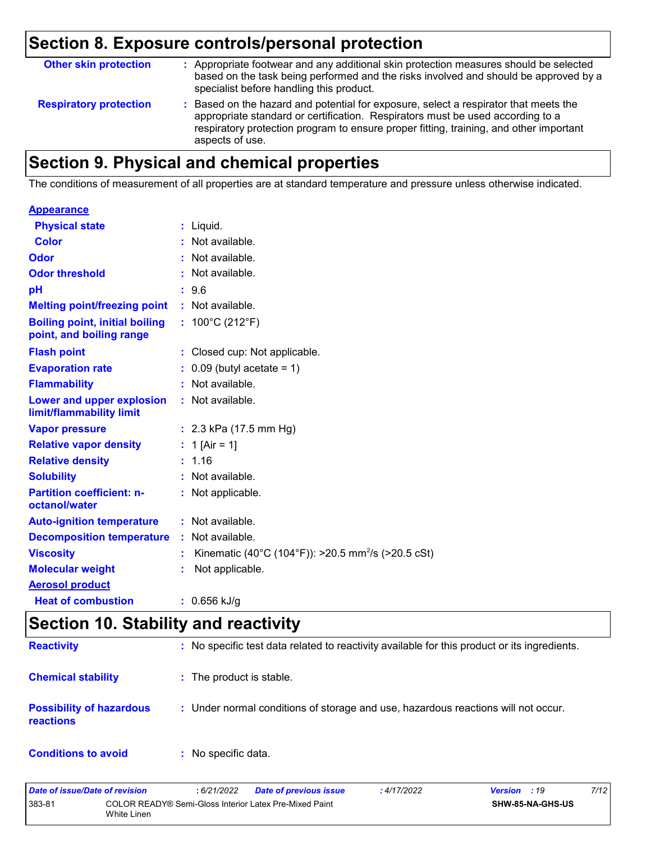## **Section 8. Exposure controls/personal protection**

| <b>Other skin protection</b>  | : Appropriate footwear and any additional skin protection measures should be selected<br>based on the task being performed and the risks involved and should be approved by a<br>specialist before handling this product.                                                           |
|-------------------------------|-------------------------------------------------------------------------------------------------------------------------------------------------------------------------------------------------------------------------------------------------------------------------------------|
| <b>Respiratory protection</b> | : Based on the hazard and potential for exposure, select a respirator that meets the<br>appropriate standard or certification. Respirators must be used according to a<br>respiratory protection program to ensure proper fitting, training, and other important<br>aspects of use. |

## **Section 9. Physical and chemical properties**

The conditions of measurement of all properties are at standard temperature and pressure unless otherwise indicated.

| <b>Appearance</b>                                                 |                                                                     |
|-------------------------------------------------------------------|---------------------------------------------------------------------|
| <b>Physical state</b>                                             | $:$ Liquid.                                                         |
| <b>Color</b>                                                      | : Not available.                                                    |
| Odor                                                              | : Not available.                                                    |
| <b>Odor threshold</b>                                             | : Not available.                                                    |
| рH                                                                | : 9.6                                                               |
| <b>Melting point/freezing point</b>                               | : Not available.                                                    |
| <b>Boiling point, initial boiling</b><br>point, and boiling range | : $100^{\circ}$ C (212 $^{\circ}$ F)                                |
| <b>Flash point</b>                                                | : Closed cup: Not applicable.                                       |
| <b>Evaporation rate</b>                                           | $0.09$ (butyl acetate = 1)                                          |
| <b>Flammability</b>                                               | : Not available.                                                    |
| Lower and upper explosion<br>limit/flammability limit             | : Not available.                                                    |
| <b>Vapor pressure</b>                                             | : $2.3$ kPa (17.5 mm Hg)                                            |
| <b>Relative vapor density</b>                                     | : 1 [Air = 1]                                                       |
| <b>Relative density</b>                                           | : 1.16                                                              |
| <b>Solubility</b>                                                 | : Not available.                                                    |
| <b>Partition coefficient: n-</b><br>octanol/water                 | : Not applicable.                                                   |
| <b>Auto-ignition temperature</b>                                  | : Not available.                                                    |
| <b>Decomposition temperature</b>                                  | : Not available.                                                    |
| <b>Viscosity</b>                                                  | Kinematic (40°C (104°F)): >20.5 mm <sup>2</sup> /s (>20.5 cSt)<br>÷ |
| <b>Molecular weight</b>                                           | Not applicable.                                                     |
| <b>Aerosol product</b>                                            |                                                                     |
| <b>Heat of combustion</b>                                         | : $0.656$ kJ/g                                                      |

## **Section 10. Stability and reactivity**

| <b>Reactivity</b>                            | : No specific test data related to reactivity available for this product or its ingredients. |
|----------------------------------------------|----------------------------------------------------------------------------------------------|
| <b>Chemical stability</b>                    | : The product is stable.                                                                     |
| <b>Possibility of hazardous</b><br>reactions | : Under normal conditions of storage and use, hazardous reactions will not occur.            |
| <b>Conditions to avoid</b>                   | : No specific data.                                                                          |

| Date of issue/Date of revision |             | : 6/21/2022                                            | Date of previous issue | : 4/17/2022 | <b>Version</b> : 19 |                  | 7/12 |
|--------------------------------|-------------|--------------------------------------------------------|------------------------|-------------|---------------------|------------------|------|
| 383-81                         | White Linen | COLOR READY® Semi-Gloss Interior Latex Pre-Mixed Paint |                        |             |                     | SHW-85-NA-GHS-US |      |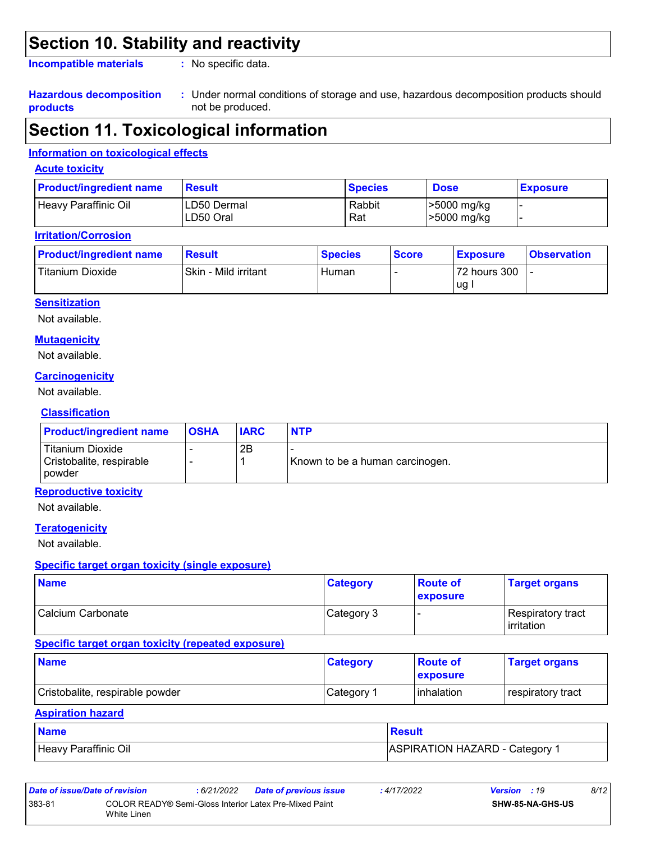## **Section 10. Stability and reactivity**

**Incompatible materials :**

: No specific data.

#### **Hazardous decomposition products**

Under normal conditions of storage and use, hazardous decomposition products should **:** not be produced.

## **Section 11. Toxicological information**

#### **Information on toxicological effects**

#### **Acute toxicity**

| <b>Product/ingredient name</b> | <b>Result</b>             | <b>Species</b> | <b>Dose</b>                | <b>Exposure</b> |
|--------------------------------|---------------------------|----------------|----------------------------|-----------------|
| Heavy Paraffinic Oil           | ILD50 Dermal<br>LD50 Oral | Rabbit<br>Rat  | >5000 mg/kg<br>>5000 mg/kg |                 |

#### **Irritation/Corrosion**

| <b>Product/ingredient name</b> | <b>Result</b>        | <b>Species</b> | <b>Score</b> | <b>Exposure</b>    | <b>Observation</b> |
|--------------------------------|----------------------|----------------|--------------|--------------------|--------------------|
| Titanium Dioxide               | Skin - Mild irritant | Human          |              | 72 hours 300<br>ug |                    |

#### **Sensitization**

Not available.

#### **Mutagenicity**

Not available.

#### **Carcinogenicity**

Not available.

#### **Classification**

| <b>Product/ingredient name</b>                                | <b>OSHA</b> | <b>IARC</b> | <b>NTP</b>                      |
|---------------------------------------------------------------|-------------|-------------|---------------------------------|
| Titanium Dioxide<br>Cristobalite, respirable<br><b>powder</b> |             | 2B          | Known to be a human carcinogen. |

#### **Reproductive toxicity**

Not available.

#### **Teratogenicity**

Not available.

#### **Specific target organ toxicity (single exposure)**

| <b>Name</b>       | <b>Category</b> | <b>Route of</b><br><b>exposure</b> | <b>Target organs</b>                            |
|-------------------|-----------------|------------------------------------|-------------------------------------------------|
| Calcium Carbonate | Category 3      |                                    | <b>Respiratory tract</b><br><b>l</b> irritation |

#### **Specific target organ toxicity (repeated exposure)**

| <b>Name</b>                     | <b>Category</b>        | <b>Route of</b><br><b>exposure</b> | <b>Target organs</b> |
|---------------------------------|------------------------|------------------------------------|----------------------|
| Cristobalite, respirable powder | ⊩Category <sup>≁</sup> | <b>l</b> inhalation                | respiratory tract    |

#### **Aspiration hazard**

| <b>Name</b>          | <b>Result</b>                |
|----------------------|------------------------------|
| Heavy Paraffinic Oil | ASPIRATION HAZARD - Category |

| Date of issue/Date of revision |                                                                       | : 6/21/2022 | <b>Date of previous issue</b> | : 4/17/2022 | <b>Version</b> : 19 |                         | 8/12 |
|--------------------------------|-----------------------------------------------------------------------|-------------|-------------------------------|-------------|---------------------|-------------------------|------|
| 383-81                         | COLOR READY® Semi-Gloss Interior Latex Pre-Mixed Paint<br>White Linen |             |                               |             |                     | <b>SHW-85-NA-GHS-US</b> |      |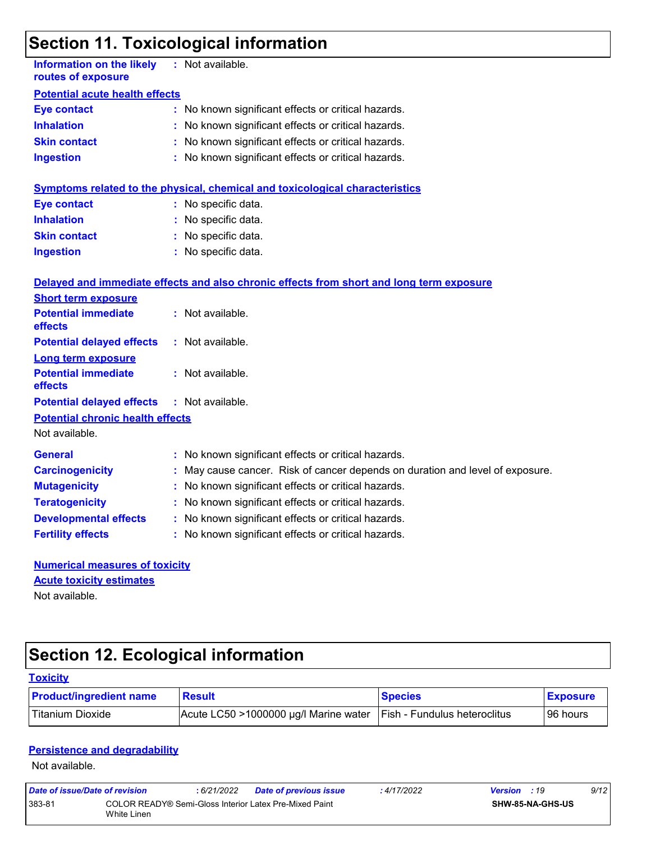## **Section 11. Toxicological information**

| <b>Information on the likely</b><br>routes of exposure    |  | : Not available.                                                                         |  |  |  |  |  |
|-----------------------------------------------------------|--|------------------------------------------------------------------------------------------|--|--|--|--|--|
| <b>Potential acute health effects</b>                     |  |                                                                                          |  |  |  |  |  |
| <b>Eye contact</b>                                        |  | : No known significant effects or critical hazards.                                      |  |  |  |  |  |
| <b>Inhalation</b>                                         |  | : No known significant effects or critical hazards.                                      |  |  |  |  |  |
| <b>Skin contact</b>                                       |  | No known significant effects or critical hazards.                                        |  |  |  |  |  |
| <b>Ingestion</b>                                          |  | : No known significant effects or critical hazards.                                      |  |  |  |  |  |
|                                                           |  | <b>Symptoms related to the physical, chemical and toxicological characteristics</b>      |  |  |  |  |  |
| <b>Eye contact</b>                                        |  | : No specific data.                                                                      |  |  |  |  |  |
| <b>Inhalation</b>                                         |  | : No specific data.                                                                      |  |  |  |  |  |
| <b>Skin contact</b>                                       |  | : No specific data.                                                                      |  |  |  |  |  |
| <b>Ingestion</b>                                          |  | : No specific data.                                                                      |  |  |  |  |  |
|                                                           |  | Delayed and immediate effects and also chronic effects from short and long term exposure |  |  |  |  |  |
| <b>Short term exposure</b>                                |  |                                                                                          |  |  |  |  |  |
| <b>Potential immediate</b><br>effects                     |  | : Not available.                                                                         |  |  |  |  |  |
| <b>Potential delayed effects</b>                          |  | : Not available.                                                                         |  |  |  |  |  |
| <b>Long term exposure</b>                                 |  |                                                                                          |  |  |  |  |  |
| <b>Potential immediate</b><br>effects                     |  | : Not available.                                                                         |  |  |  |  |  |
| <b>Potential delayed effects</b>                          |  | : Not available.                                                                         |  |  |  |  |  |
| <b>Potential chronic health effects</b><br>Not available. |  |                                                                                          |  |  |  |  |  |
| <b>General</b>                                            |  | : No known significant effects or critical hazards.                                      |  |  |  |  |  |
| <b>Carcinogenicity</b>                                    |  | : May cause cancer. Risk of cancer depends on duration and level of exposure.            |  |  |  |  |  |
| <b>Mutagenicity</b>                                       |  | No known significant effects or critical hazards.                                        |  |  |  |  |  |
| <b>Teratogenicity</b>                                     |  | : No known significant effects or critical hazards.                                      |  |  |  |  |  |
| <b>Developmental effects</b>                              |  | : No known significant effects or critical hazards.                                      |  |  |  |  |  |
| <b>Fertility effects</b>                                  |  | : No known significant effects or critical hazards.                                      |  |  |  |  |  |
| <b>Numerical measures of toxicity</b>                     |  |                                                                                          |  |  |  |  |  |
| <b>Acute toxicity estimates</b>                           |  |                                                                                          |  |  |  |  |  |
| Not available.                                            |  |                                                                                          |  |  |  |  |  |

# **Section 12. Ecological information**

| <b>Toxicity</b>                |                                       |                                      |                 |
|--------------------------------|---------------------------------------|--------------------------------------|-----------------|
| <b>Product/ingredient name</b> | <b>Result</b>                         | <b>Species</b>                       | <b>Exposure</b> |
| l Titanium Dioxide             | Acute LC50 >1000000 µg/l Marine water | <b>IFish - Fundulus heteroclitus</b> | 96 hours        |

#### **Persistence and degradability**

Not available.

| Date of issue/Date of revision |                                                                       | : 6/21/2022 | Date of previous issue | : 4/17/2022 | <b>Version</b> : 19 |                         | 9/12 |
|--------------------------------|-----------------------------------------------------------------------|-------------|------------------------|-------------|---------------------|-------------------------|------|
| 383-81                         | COLOR READY® Semi-Gloss Interior Latex Pre-Mixed Paint<br>White Linen |             |                        |             |                     | <b>SHW-85-NA-GHS-US</b> |      |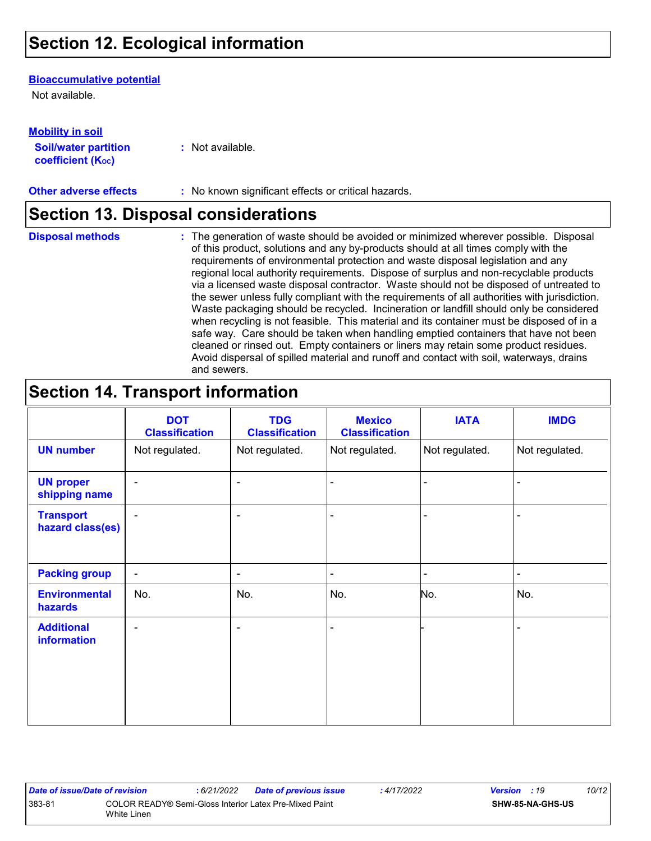## **Section 12. Ecological information**

#### **Bioaccumulative potential**

Not available.

**Mobility in soil**

| INIVWIIILY III JVII         |                  |
|-----------------------------|------------------|
| <b>Soil/water partition</b> | : Not available. |
| <b>coefficient (Koc)</b>    |                  |

**Other adverse effects** : No known significant effects or critical hazards.

### **Section 13. Disposal considerations**

**Disposal methods :**

The generation of waste should be avoided or minimized wherever possible. Disposal of this product, solutions and any by-products should at all times comply with the requirements of environmental protection and waste disposal legislation and any regional local authority requirements. Dispose of surplus and non-recyclable products via a licensed waste disposal contractor. Waste should not be disposed of untreated to the sewer unless fully compliant with the requirements of all authorities with jurisdiction. Waste packaging should be recycled. Incineration or landfill should only be considered when recycling is not feasible. This material and its container must be disposed of in a safe way. Care should be taken when handling emptied containers that have not been cleaned or rinsed out. Empty containers or liners may retain some product residues. Avoid dispersal of spilled material and runoff and contact with soil, waterways, drains and sewers.

## **Section 14. Transport information**

|                                      | <b>DOT</b><br><b>Classification</b> | <b>TDG</b><br><b>Classification</b> | <b>Mexico</b><br><b>Classification</b> | <b>IATA</b>    | <b>IMDG</b>    |
|--------------------------------------|-------------------------------------|-------------------------------------|----------------------------------------|----------------|----------------|
| <b>UN number</b>                     | Not regulated.                      | Not regulated.                      | Not regulated.                         | Not regulated. | Not regulated. |
| <b>UN proper</b><br>shipping name    | $\blacksquare$                      | $\blacksquare$                      |                                        |                |                |
| <b>Transport</b><br>hazard class(es) | $\blacksquare$                      | $\overline{\phantom{a}}$            |                                        |                |                |
| <b>Packing group</b>                 | $\overline{\phantom{a}}$            | ۰                                   | $\blacksquare$                         |                |                |
| <b>Environmental</b><br>hazards      | No.                                 | No.                                 | No.                                    | No.            | No.            |
| <b>Additional</b><br>information     | $\blacksquare$                      | $\blacksquare$                      | $\blacksquare$                         |                |                |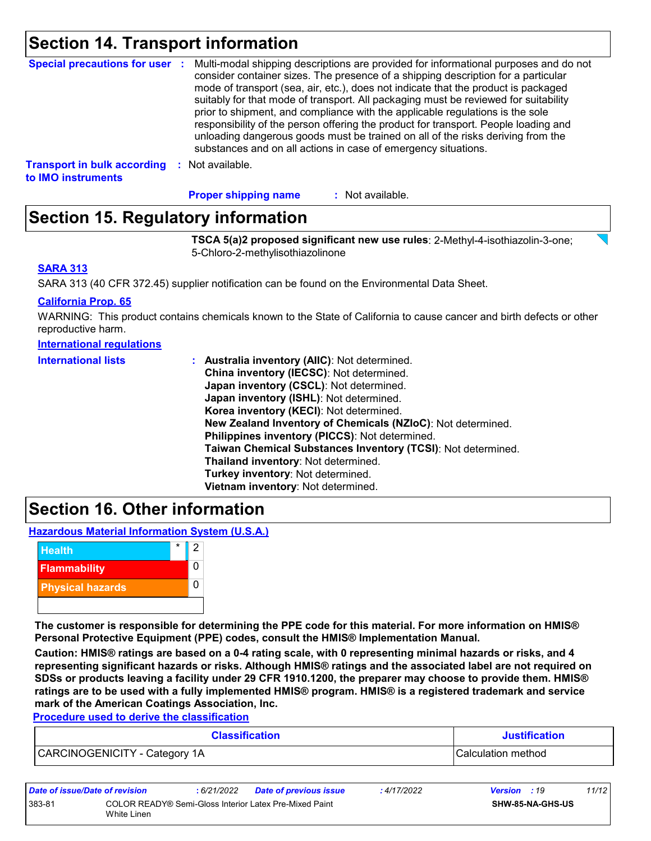### **Section 14. Transport information**

| <b>Special precautions for user :</b> | Multi-modal shipping descriptions are provided for informational purposes and do not<br>consider container sizes. The presence of a shipping description for a particular<br>mode of transport (sea, air, etc.), does not indicate that the product is packaged<br>suitably for that mode of transport. All packaging must be reviewed for suitability<br>prior to shipment, and compliance with the applicable regulations is the sole<br>responsibility of the person offering the product for transport. People loading and<br>unloading dangerous goods must be trained on all of the risks deriving from the<br>substances and on all actions in case of emergency situations. |
|---------------------------------------|-------------------------------------------------------------------------------------------------------------------------------------------------------------------------------------------------------------------------------------------------------------------------------------------------------------------------------------------------------------------------------------------------------------------------------------------------------------------------------------------------------------------------------------------------------------------------------------------------------------------------------------------------------------------------------------|
| <b>Transport in bulk according</b>    | Not available.                                                                                                                                                                                                                                                                                                                                                                                                                                                                                                                                                                                                                                                                      |
| to IMO instruments                    | -9                                                                                                                                                                                                                                                                                                                                                                                                                                                                                                                                                                                                                                                                                  |

: Not available. **Proper shipping name :**

## **Section 15. Regulatory information**

**TSCA 5(a)2 proposed significant new use rules**: 2-Methyl-4-isothiazolin-3-one; 5-Chloro-2-methylisothiazolinone

#### **SARA 313**

SARA 313 (40 CFR 372.45) supplier notification can be found on the Environmental Data Sheet.

#### **California Prop. 65**

WARNING: This product contains chemicals known to the State of California to cause cancer and birth defects or other reproductive harm.

#### **International regulations**

| <b>International lists</b> | : Australia inventory (AIIC): Not determined.                |
|----------------------------|--------------------------------------------------------------|
|                            | China inventory (IECSC): Not determined.                     |
|                            | Japan inventory (CSCL): Not determined.                      |
|                            | Japan inventory (ISHL): Not determined.                      |
|                            | Korea inventory (KECI): Not determined.                      |
|                            | New Zealand Inventory of Chemicals (NZIoC): Not determined.  |
|                            | Philippines inventory (PICCS): Not determined.               |
|                            | Taiwan Chemical Substances Inventory (TCSI): Not determined. |
|                            | Thailand inventory: Not determined.                          |
|                            | Turkey inventory: Not determined.                            |
|                            | Vietnam inventory: Not determined.                           |

### **Section 16. Other information**

**Hazardous Material Information System (U.S.A.)**



**The customer is responsible for determining the PPE code for this material. For more information on HMIS® Personal Protective Equipment (PPE) codes, consult the HMIS® Implementation Manual.**

**Caution: HMIS® ratings are based on a 0-4 rating scale, with 0 representing minimal hazards or risks, and 4 representing significant hazards or risks. Although HMIS® ratings and the associated label are not required on SDSs or products leaving a facility under 29 CFR 1910.1200, the preparer may choose to provide them. HMIS® ratings are to be used with a fully implemented HMIS® program. HMIS® is a registered trademark and service mark of the American Coatings Association, Inc.**

**Procedure used to derive the classification**

| <b>Classification</b>         | <b>Justification</b> |
|-------------------------------|----------------------|
| CARCINOGENICITY - Category 1A | ICalculation method  |

| Date of issue/Date of revision |                                                                       | : 6/21/2022 | <b>Date of previous issue</b> | : 4/17/2022 | <b>Version</b> : 19 |                  | 11/12 |
|--------------------------------|-----------------------------------------------------------------------|-------------|-------------------------------|-------------|---------------------|------------------|-------|
| 383-81                         | COLOR READY® Semi-Gloss Interior Latex Pre-Mixed Paint<br>White Linen |             |                               |             |                     | SHW-85-NA-GHS-US |       |